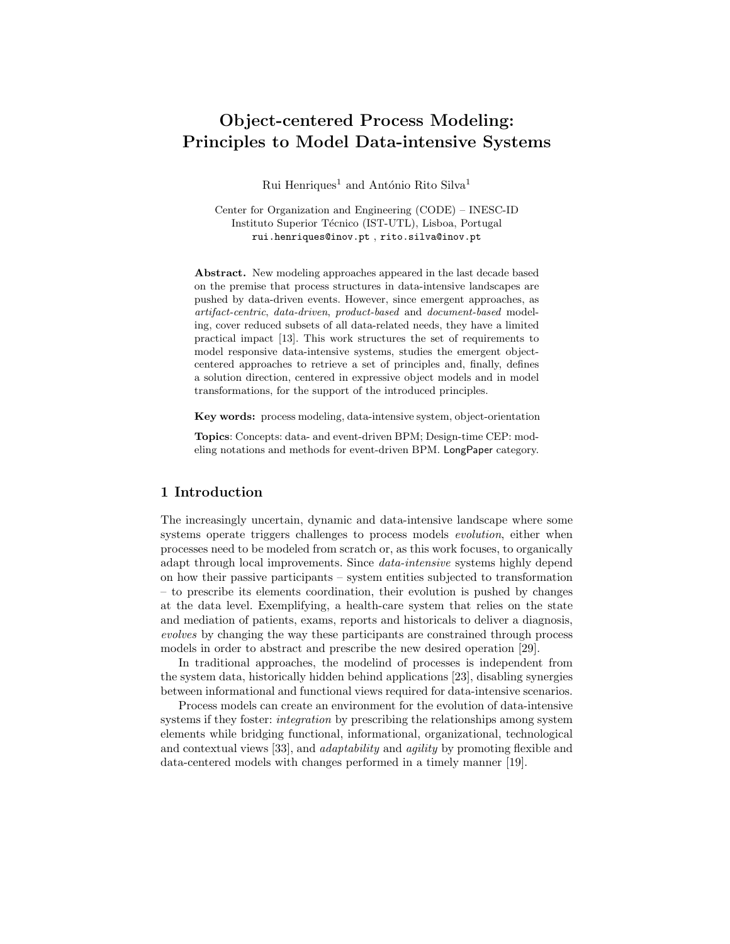# Object-centered Process Modeling: Principles to Model Data-intensive Systems

Rui Henriques<sup>1</sup> and António Rito Silva<sup>1</sup>

Center for Organization and Engineering (CODE) – INESC-ID Instituto Superior Técnico (IST-UTL), Lisboa, Portugal rui.henriques@inov.pt , rito.silva@inov.pt

Abstract. New modeling approaches appeared in the last decade based on the premise that process structures in data-intensive landscapes are pushed by data-driven events. However, since emergent approaches, as artifact-centric, data-driven, product-based and document-based modeling, cover reduced subsets of all data-related needs, they have a limited practical impact [13]. This work structures the set of requirements to model responsive data-intensive systems, studies the emergent objectcentered approaches to retrieve a set of principles and, finally, defines a solution direction, centered in expressive object models and in model transformations, for the support of the introduced principles.

Key words: process modeling, data-intensive system, object-orientation

Topics: Concepts: data- and event-driven BPM; Design-time CEP: modeling notations and methods for event-driven BPM. LongPaper category.

## 1 Introduction

The increasingly uncertain, dynamic and data-intensive landscape where some systems operate triggers challenges to process models *evolution*, either when processes need to be modeled from scratch or, as this work focuses, to organically adapt through local improvements. Since data-intensive systems highly depend on how their passive participants – system entities subjected to transformation – to prescribe its elements coordination, their evolution is pushed by changes at the data level. Exemplifying, a health-care system that relies on the state and mediation of patients, exams, reports and historicals to deliver a diagnosis, evolves by changing the way these participants are constrained through process models in order to abstract and prescribe the new desired operation [29].

In traditional approaches, the modelind of processes is independent from the system data, historically hidden behind applications [23], disabling synergies between informational and functional views required for data-intensive scenarios.

Process models can create an environment for the evolution of data-intensive systems if they foster: *integration* by prescribing the relationships among system elements while bridging functional, informational, organizational, technological and contextual views [33], and adaptability and agility by promoting flexible and data-centered models with changes performed in a timely manner [19].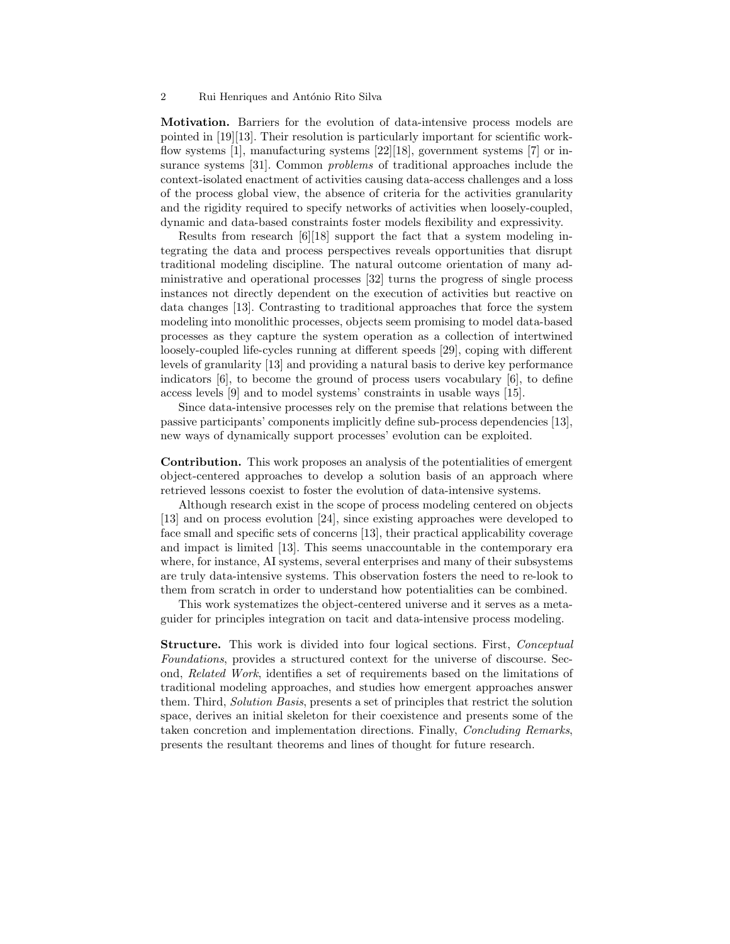Motivation. Barriers for the evolution of data-intensive process models are pointed in [19][13]. Their resolution is particularly important for scientific workflow systems [1], manufacturing systems [22][18], government systems [7] or insurance systems [31]. Common problems of traditional approaches include the context-isolated enactment of activities causing data-access challenges and a loss of the process global view, the absence of criteria for the activities granularity and the rigidity required to specify networks of activities when loosely-coupled, dynamic and data-based constraints foster models flexibility and expressivity.

Results from research [6][18] support the fact that a system modeling integrating the data and process perspectives reveals opportunities that disrupt traditional modeling discipline. The natural outcome orientation of many administrative and operational processes [32] turns the progress of single process instances not directly dependent on the execution of activities but reactive on data changes [13]. Contrasting to traditional approaches that force the system modeling into monolithic processes, objects seem promising to model data-based processes as they capture the system operation as a collection of intertwined loosely-coupled life-cycles running at different speeds [29], coping with different levels of granularity [13] and providing a natural basis to derive key performance indicators [6], to become the ground of process users vocabulary [6], to define access levels [9] and to model systems' constraints in usable ways [15].

Since data-intensive processes rely on the premise that relations between the passive participants' components implicitly define sub-process dependencies [13], new ways of dynamically support processes' evolution can be exploited.

Contribution. This work proposes an analysis of the potentialities of emergent object-centered approaches to develop a solution basis of an approach where retrieved lessons coexist to foster the evolution of data-intensive systems.

Although research exist in the scope of process modeling centered on objects [13] and on process evolution [24], since existing approaches were developed to face small and specific sets of concerns [13], their practical applicability coverage and impact is limited [13]. This seems unaccountable in the contemporary era where, for instance, AI systems, several enterprises and many of their subsystems are truly data-intensive systems. This observation fosters the need to re-look to them from scratch in order to understand how potentialities can be combined.

This work systematizes the object-centered universe and it serves as a metaguider for principles integration on tacit and data-intensive process modeling.

**Structure.** This work is divided into four logical sections. First, *Conceptual* Foundations, provides a structured context for the universe of discourse. Second, Related Work, identifies a set of requirements based on the limitations of traditional modeling approaches, and studies how emergent approaches answer them. Third, Solution Basis, presents a set of principles that restrict the solution space, derives an initial skeleton for their coexistence and presents some of the taken concretion and implementation directions. Finally, Concluding Remarks, presents the resultant theorems and lines of thought for future research.

<sup>2</sup> Rui Henriques and António Rito Silva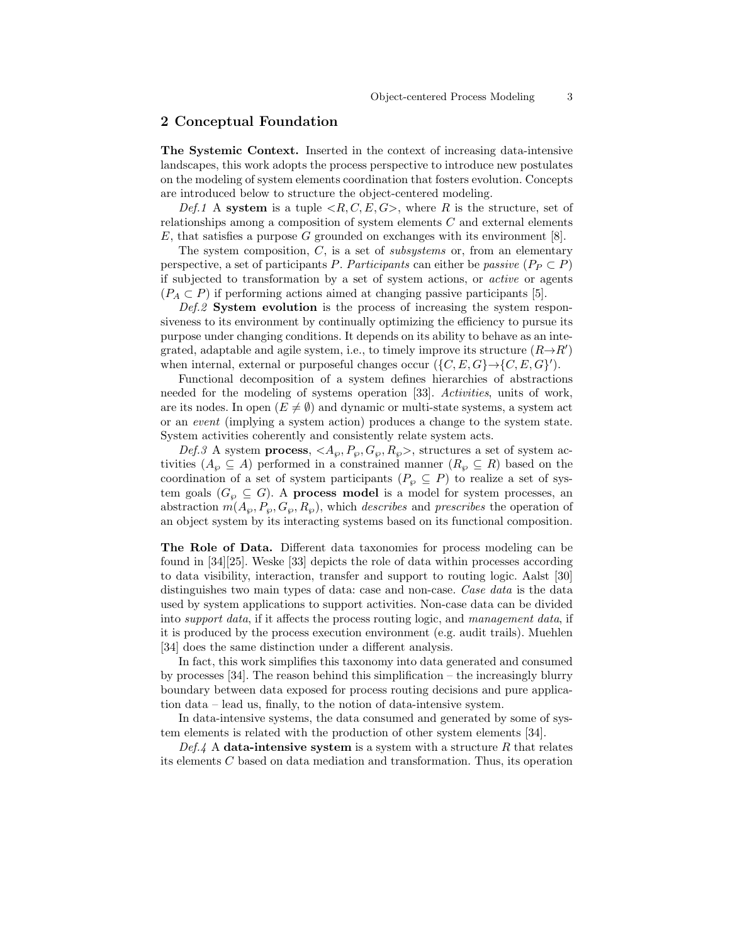### 2 Conceptual Foundation

The Systemic Context. Inserted in the context of increasing data-intensive landscapes, this work adopts the process perspective to introduce new postulates on the modeling of system elements coordination that fosters evolution. Concepts are introduced below to structure the object-centered modeling.

Def.1 A system is a tuple  $\langle R, C, E, G \rangle$ , where R is the structure, set of relationships among a composition of system elements  $C$  and external elements  $E$ , that satisfies a purpose  $G$  grounded on exchanges with its environment [8].

The system composition,  $C$ , is a set of *subsystems* or, from an elementary perspective, a set of participants P. Participants can either be passive  $(P_P \subset P)$ if subjected to transformation by a set of system actions, or active or agents  $(P_A \subset P)$  if performing actions aimed at changing passive participants [5].

Def.2 System evolution is the process of increasing the system responsiveness to its environment by continually optimizing the efficiency to pursue its purpose under changing conditions. It depends on its ability to behave as an integrated, adaptable and agile system, i.e., to timely improve its structure  $(R \rightarrow R')$ when internal, external or purposeful changes occur  $(\{C, E, G\} \rightarrow \{C, E, G\}')$ .

Functional decomposition of a system defines hierarchies of abstractions needed for the modeling of systems operation [33]. Activities, units of work, are its nodes. In open  $(E \neq \emptyset)$  and dynamic or multi-state systems, a system act or an event (implying a system action) produces a change to the system state. System activities coherently and consistently relate system acts.

Def.3 A system process,  $\langle A_{\varphi}, P_{\varphi}, G_{\varphi}, R_{\varphi} \rangle$ , structures a set of system activities  $(A_{\varphi} \subseteq A)$  performed in a constrained manner  $(R_{\varphi} \subseteq R)$  based on the coordination of a set of system participants ( $P_{\varphi} \subseteq P$ ) to realize a set of system goals ( $G_{\varphi} \subseteq G$ ). A **process model** is a model for system processes, an abstraction  $m(A_\wp, P_\wp, G_\wp, R_\wp)$ , which *describes* and *prescribes* the operation of an object system by its interacting systems based on its functional composition.

The Role of Data. Different data taxonomies for process modeling can be found in [34][25]. Weske [33] depicts the role of data within processes according to data visibility, interaction, transfer and support to routing logic. Aalst [30] distinguishes two main types of data: case and non-case. Case data is the data used by system applications to support activities. Non-case data can be divided into support data, if it affects the process routing logic, and management data, if it is produced by the process execution environment (e.g. audit trails). Muehlen [34] does the same distinction under a different analysis.

In fact, this work simplifies this taxonomy into data generated and consumed by processes [34]. The reason behind this simplification – the increasingly blurry boundary between data exposed for process routing decisions and pure application data – lead us, finally, to the notion of data-intensive system.

In data-intensive systems, the data consumed and generated by some of system elements is related with the production of other system elements [34].

Def.4 A data-intensive system is a system with a structure  $R$  that relates its elements  $C$  based on data mediation and transformation. Thus, its operation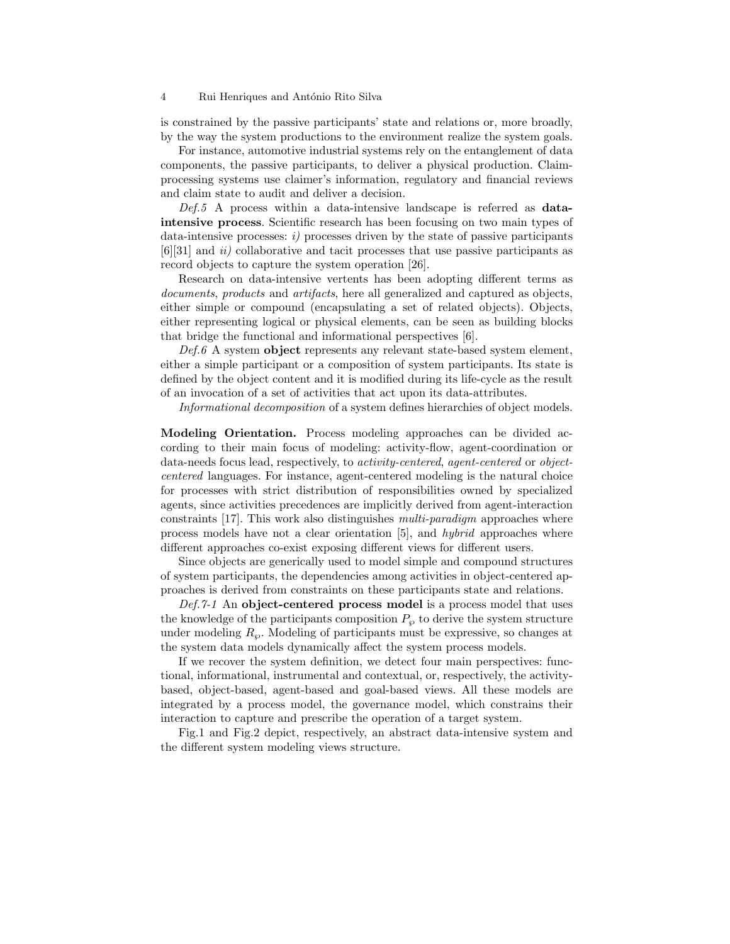#### 4 Rui Henriques and António Rito Silva

is constrained by the passive participants' state and relations or, more broadly, by the way the system productions to the environment realize the system goals.

For instance, automotive industrial systems rely on the entanglement of data components, the passive participants, to deliver a physical production. Claimprocessing systems use claimer's information, regulatory and financial reviews and claim state to audit and deliver a decision.

 $Def.5$  A process within a data-intensive landscape is referred as **data**intensive process. Scientific research has been focusing on two main types of data-intensive processes:  $i$ ) processes driven by the state of passive participants  $[6][31]$  and  $ii)$  collaborative and tacit processes that use passive participants as record objects to capture the system operation [26].

Research on data-intensive vertents has been adopting different terms as documents, products and artifacts, here all generalized and captured as objects, either simple or compound (encapsulating a set of related objects). Objects, either representing logical or physical elements, can be seen as building blocks that bridge the functional and informational perspectives [6].

 $Def.6$  A system object represents any relevant state-based system element, either a simple participant or a composition of system participants. Its state is defined by the object content and it is modified during its life-cycle as the result of an invocation of a set of activities that act upon its data-attributes.

Informational decomposition of a system defines hierarchies of object models.

Modeling Orientation. Process modeling approaches can be divided according to their main focus of modeling: activity-flow, agent-coordination or data-needs focus lead, respectively, to activity-centered, agent-centered or objectcentered languages. For instance, agent-centered modeling is the natural choice for processes with strict distribution of responsibilities owned by specialized agents, since activities precedences are implicitly derived from agent-interaction constraints [17]. This work also distinguishes multi-paradigm approaches where process models have not a clear orientation [5], and hybrid approaches where different approaches co-exist exposing different views for different users.

Since objects are generically used to model simple and compound structures of system participants, the dependencies among activities in object-centered approaches is derived from constraints on these participants state and relations.

 $Def.7-1$  An object-centered process model is a process model that uses the knowledge of the participants composition  $P_{\varphi}$  to derive the system structure under modeling  $R_{\varphi}$ . Modeling of participants must be expressive, so changes at the system data models dynamically affect the system process models.

If we recover the system definition, we detect four main perspectives: functional, informational, instrumental and contextual, or, respectively, the activitybased, object-based, agent-based and goal-based views. All these models are integrated by a process model, the governance model, which constrains their interaction to capture and prescribe the operation of a target system.

Fig.1 and Fig.2 depict, respectively, an abstract data-intensive system and the different system modeling views structure.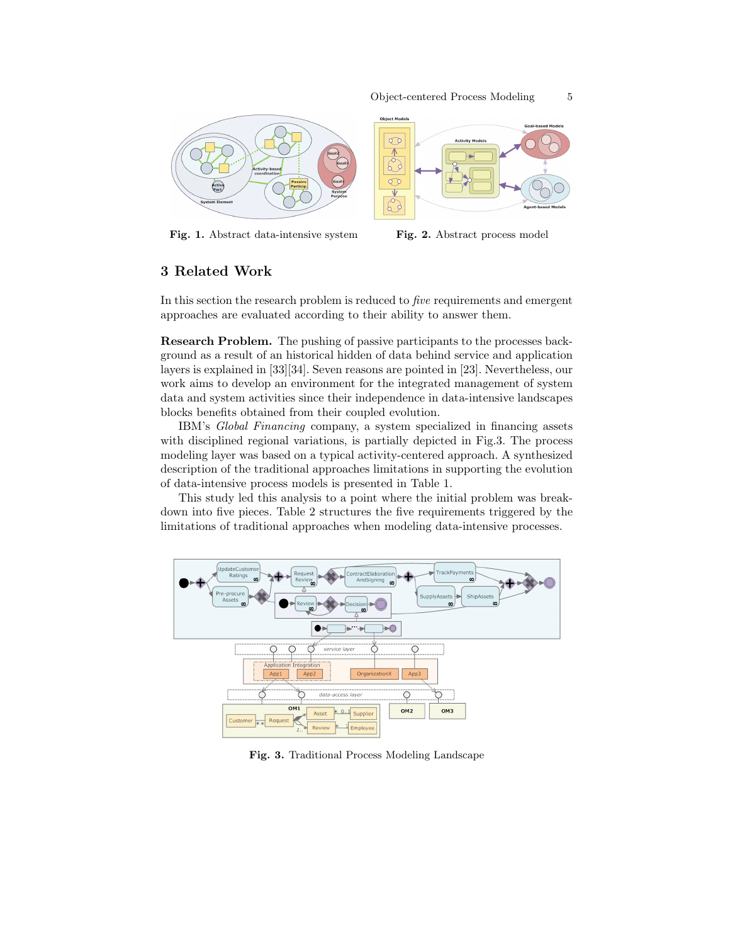



## 3 Related Work

In this section the research problem is reduced to five requirements and emergent approaches are evaluated according to their ability to answer them.

Research Problem. The pushing of passive participants to the processes background as a result of an historical hidden of data behind service and application layers is explained in [33][34]. Seven reasons are pointed in [23]. Nevertheless, our work aims to develop an environment for the integrated management of system data and system activities since their independence in data-intensive landscapes blocks benefits obtained from their coupled evolution.

IBM's Global Financing company, a system specialized in financing assets with disciplined regional variations, is partially depicted in Fig.3. The process modeling layer was based on a typical activity-centered approach. A synthesized description of the traditional approaches limitations in supporting the evolution of data-intensive process models is presented in Table 1.

This study led this analysis to a point where the initial problem was breakdown into five pieces. Table 2 structures the five requirements triggered by the limitations of traditional approaches when modeling data-intensive processes.



Fig. 3. Traditional Process Modeling Landscape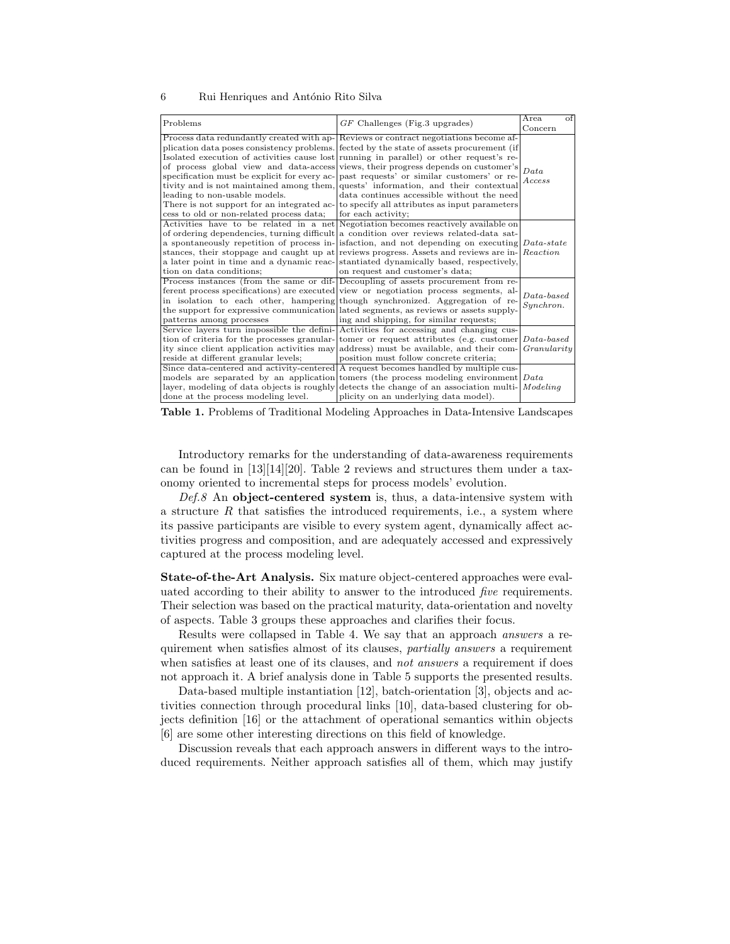#### 6 Rui Henriques and António Rito Silva

| Problems                                                                  | $GF$ Challenges (Fig.3 upgrades)                                                                                                                                                                                                                                                                                                                                                                                                                                                                                                                                                                                                                                                                                      | $\alpha$ f<br>Area.       |
|---------------------------------------------------------------------------|-----------------------------------------------------------------------------------------------------------------------------------------------------------------------------------------------------------------------------------------------------------------------------------------------------------------------------------------------------------------------------------------------------------------------------------------------------------------------------------------------------------------------------------------------------------------------------------------------------------------------------------------------------------------------------------------------------------------------|---------------------------|
|                                                                           |                                                                                                                                                                                                                                                                                                                                                                                                                                                                                                                                                                                                                                                                                                                       | Concern                   |
| leading to non-usable models.<br>cess to old or non-related process data; | Process data redundantly created with ap- Reviews or contract negotiations become af-<br>plication data poses consistency problems. [fected by the state of assets procurement (if<br>Isolated execution of activities cause lost running in parallel) or other request's re-<br>of process global view and data-access views, their progress depends on customer's<br>specification must be explicit for every ac- past requests' or similar customers' or re-<br>tivity and is not maintained among them, quests' information, and their contextual<br>data continues accessible without the need<br>There is not support for an integrated ac- to specify all attributes as input parameters<br>for each activity; | Data<br><i>Access</i>     |
| tion on data conditions;                                                  | Activities have to be related in a net Negotiation becomes reactively available on<br>of ordering dependencies, turning difficult a condition over reviews related-data sat-<br>a spontaneously repetition of process in- is faction, and not depending on executing $Data-state$<br>stances, their stoppage and caught up at reviews progress. Assets and reviews are in- Reaction<br>a later point in time and a dynamic reac-<br>stantiated dynamically based, respectively,<br>on request and customer's data;                                                                                                                                                                                                    |                           |
| patterns among processes                                                  | Process instances (from the same or dif- Decoupling of assets procurement from re-<br>ferent process specifications) are executed view or negotiation process segments, al-<br>in isolation to each other, hampering though synchronized. Aggregation of re-<br>the support for expressive communication lated segments, as reviews or assets supply-<br>ing and shipping, for similar requests;                                                                                                                                                                                                                                                                                                                      | $Data-based$<br>Synchron. |
| reside at different granular levels;                                      | Service layers turn impossible the defini-Activities for accessing and changing cus-<br>tion of criteria for the processes granular-tomer or request attributes (e.g. customer $Data-based$<br>ity since client application activities may address) must be available, and their com- Granularity<br>position must follow concrete criteria;                                                                                                                                                                                                                                                                                                                                                                          |                           |
| done at the process modeling level.                                       | Since data-centered and activity-centered A request becomes handled by multiple cus-<br>models are separated by an application tomers (the process modeling environment $Data$<br>layer, modeling of data objects is roughly detects the change of an association multi- $\vert$ <i>Modeling</i><br>plicity on an underlying data model).                                                                                                                                                                                                                                                                                                                                                                             |                           |

Table 1. Problems of Traditional Modeling Approaches in Data-Intensive Landscapes

Introductory remarks for the understanding of data-awareness requirements can be found in [13][14][20]. Table 2 reviews and structures them under a taxonomy oriented to incremental steps for process models' evolution.

 $Def.8$  An object-centered system is, thus, a data-intensive system with a structure  $R$  that satisfies the introduced requirements, i.e., a system where its passive participants are visible to every system agent, dynamically affect activities progress and composition, and are adequately accessed and expressively captured at the process modeling level.

State-of-the-Art Analysis. Six mature object-centered approaches were evaluated according to their ability to answer to the introduced five requirements. Their selection was based on the practical maturity, data-orientation and novelty of aspects. Table 3 groups these approaches and clarifies their focus.

Results were collapsed in Table 4. We say that an approach answers a requirement when satisfies almost of its clauses, partially answers a requirement when satisfies at least one of its clauses, and *not answers* a requirement if does not approach it. A brief analysis done in Table 5 supports the presented results.

Data-based multiple instantiation [12], batch-orientation [3], objects and activities connection through procedural links [10], data-based clustering for objects definition [16] or the attachment of operational semantics within objects [6] are some other interesting directions on this field of knowledge.

Discussion reveals that each approach answers in different ways to the introduced requirements. Neither approach satisfies all of them, which may justify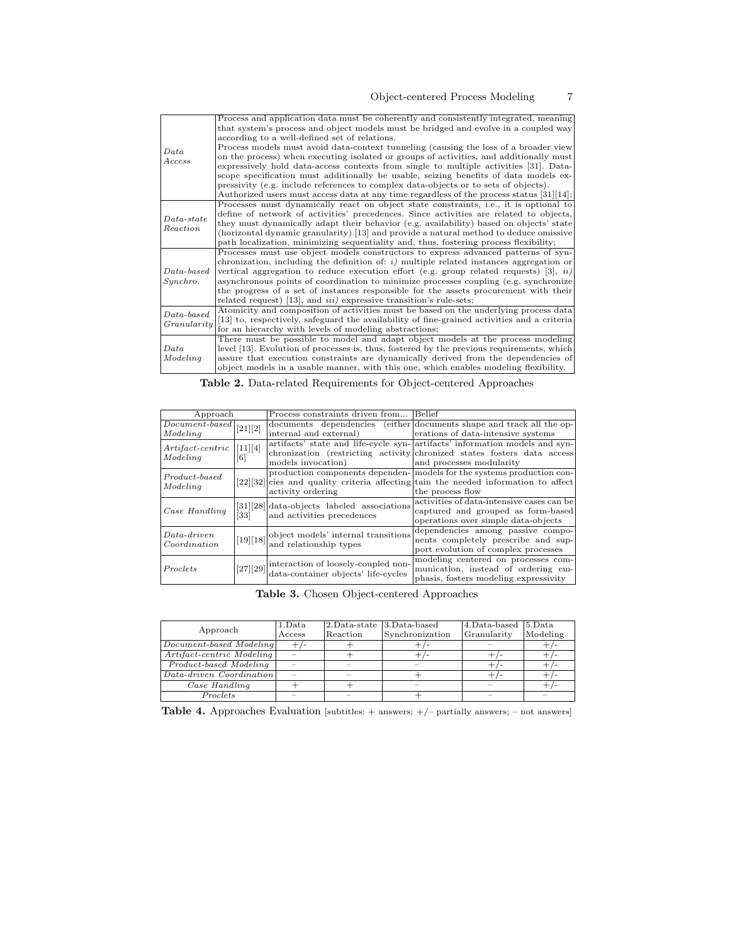| Data<br>Access              | Process and application data must be coherently and consistently integrated, meaning<br>that system's process and object models must be bridged and evolve in a coupled way<br>according to a well-defined set of relations.<br>Process models must avoid data-context tunneling (causing the loss of a broader view<br>on the process) when executing isolated or groups of activities, and additionally must<br>expressively hold data-access contexts from single to multiple activities [31]. Data-<br>scope specification must additionally be usable, seizing benefits of data models ex-<br>pressivity (e.g. include references to complex data-objects or to sets of objects).<br>Authorized users must access data at any time regardless of the process status $[31][14]$ ; |
|-----------------------------|---------------------------------------------------------------------------------------------------------------------------------------------------------------------------------------------------------------------------------------------------------------------------------------------------------------------------------------------------------------------------------------------------------------------------------------------------------------------------------------------------------------------------------------------------------------------------------------------------------------------------------------------------------------------------------------------------------------------------------------------------------------------------------------|
| $Data-state$<br>Reaction    | Processes must dynamically react on object state constraints, i.e., it is optional to<br>define of network of activities' precedences. Since activities are related to objects,<br>they must dynamically adapt their behavior (e.g. availability) based on objects' state<br>(horizontal dynamic granularity) [13] and provide a natural method to deduce omissive<br>path localization, minimizing sequentiality and, thus, fostering process flexibility;                                                                                                                                                                                                                                                                                                                           |
| $Data-based$<br>Synchro.    | Processes must use object models constructors to express advanced patterns of syn-<br>chronization, including the definition of: $i$ ) multiple related instances aggregation or<br>vertical aggregation to reduce execution effort (e.g. group related requests) [3], $ii)$<br>asynchronous points of coordination to minimize processes coupling (e.g. synchronize<br>the progress of a set of instances responsible for the assets procurement with their<br>related request) [13], and <i>iii</i> ) expressive transition's rule-sets;                                                                                                                                                                                                                                            |
| $Data-based$<br>Granularity | Atomicity and composition of activities must be based on the underlying process data<br>[13] to, respectively, safeguard the availability of fine-grained activities and a criteria<br>for an hierarchy with levels of modeling abstractions;                                                                                                                                                                                                                                                                                                                                                                                                                                                                                                                                         |
| Data<br>Modeling            | There must be possible to model and adapt object models at the process modeling<br>level [13]. Evolution of processes is, thus, fostered by the previous requirements, which<br>assure that execution constraints are dynamically derived from the dependencies of<br>object models in a usable manner, with this one, which enables modeling flexibility.                                                                                                                                                                                                                                                                                                                                                                                                                            |

| <b>Table 2.</b> Data-related Requirements for Object-centered Approaches |  |  |
|--------------------------------------------------------------------------|--|--|
|                                                                          |  |  |

| Approach                                                       |                   | Process constraints driven from Belief                                                         |                                                                                      |
|----------------------------------------------------------------|-------------------|------------------------------------------------------------------------------------------------|--------------------------------------------------------------------------------------|
| $\lceil\overbrace{\textit{Document-based}}\rceil[21][2]\rceil$ |                   |                                                                                                | documents dependencies (either documents shape and track all the op-                 |
| Modelina                                                       |                   | internal and external)                                                                         | erations of data-intensive systems                                                   |
| $Artifact-centric$<br>Modeling                                 | [11][4]           |                                                                                                | artifacts' state and life-cycle syn- artifacts' information models and syn-          |
|                                                                |                   |                                                                                                | chronization (restricting activity chronized states fosters data access)             |
|                                                                | $\lceil 6 \rceil$ | models invocation)                                                                             | and processes modularity                                                             |
|                                                                |                   |                                                                                                | production components dependen- models for the systems production con-               |
| Product-based<br>Modeling                                      |                   |                                                                                                | $[22][32]$ cies and quality criteria affecting tain the needed information to affect |
|                                                                |                   | activity ordering                                                                              | the process flow                                                                     |
| Case Handling                                                  |                   | $[31][28]$ data-objects labeled associations                                                   | activities of data-intensive cases can be                                            |
|                                                                |                   | and activities precedences                                                                     | captured and grouped as form-based                                                   |
| [33]                                                           |                   |                                                                                                | operations over simple data-objects                                                  |
|                                                                |                   |                                                                                                | dependencies among passive compo-                                                    |
| $Data-driven$<br>Coordination                                  |                   | $\left\vert [19][18]\right\vert$ object models' internal transitions<br>and relationship types | nents completely prescribe and sup-                                                  |
|                                                                |                   |                                                                                                | port evolution of complex processes                                                  |
| Proclets                                                       |                   |                                                                                                | modeling centered on processes com-                                                  |
|                                                                |                   | $\frac{1}{27}$ [29] interaction of loosely-coupled non-<br>data-container objects' life-cycles | munication, instead of ordering em-                                                  |
|                                                                |                   |                                                                                                | phasis, fosters modeling expressivity                                                |

Table 3. Chosen Object-centered Approaches

|                           | 1.Data | 2.Data-state 3.Data-based |                 | 4.Data-based 5.Data |          |
|---------------------------|--------|---------------------------|-----------------|---------------------|----------|
| Approach                  | Access | Reaction                  | Synchronization | Granularity         | Modeling |
| Document-based Modeling   | +,     |                           |                 |                     |          |
| Artifact-centric Modeling |        |                           |                 |                     |          |
| Product-based Modeling    |        |                           |                 |                     |          |
| Data-driven Coordination  |        |                           |                 |                     |          |
| Case Handling             |        |                           |                 |                     |          |
| Proclets                  |        |                           |                 |                     |          |

Table 4. Approaches Evaluation [subtitles: + answers; +/- partially answers; - not answers]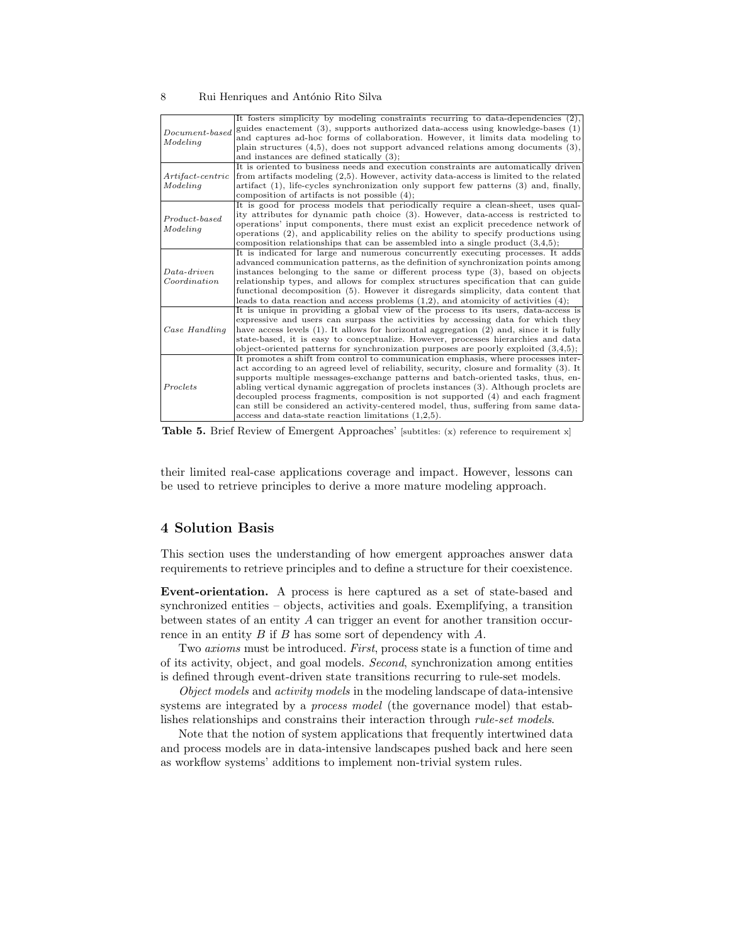#### 8 Rui Henriques and António Rito Silva

| $Document-based$<br>Modeling   | It fosters simplicity by modeling constraints recurring to data-dependencies (2),<br>guides enactement $(3)$ , supports authorized data-access using knowledge-bases $(1)$<br>and captures ad-hoc forms of collaboration. However, it limits data modeling to<br>plain structures $(4,5)$ , does not support advanced relations among documents $(3)$ ,<br>and instances are defined statically $(3)$ ;                                                                                                                                                                                        |
|--------------------------------|------------------------------------------------------------------------------------------------------------------------------------------------------------------------------------------------------------------------------------------------------------------------------------------------------------------------------------------------------------------------------------------------------------------------------------------------------------------------------------------------------------------------------------------------------------------------------------------------|
| $Artifact-centric$<br>Modeling | It is oriented to business needs and execution constraints are automatically driven<br>from artifacts modeling (2,5). However, activity data-access is limited to the related<br>$artifact(1)$ , life-cycles synchronization only support few patterns $(3)$ and, finally,<br>composition of artifacts is not possible $(4)$ ;                                                                                                                                                                                                                                                                 |
| $Product-based$<br>Modeling    | It is good for process models that periodically require a clean-sheet, uses qual-<br>ity attributes for dynamic path choice (3). However, data-access is restricted to<br>operations' input components, there must exist an explicit precedence network of<br>operations (2), and applicability relies on the ability to specify productions using<br>composition relationships that can be assembled into a single product $(3,4,5)$ ;                                                                                                                                                        |
| $Data-driven$<br>Coordination  | It is indicated for large and numerous concurrently executing processes. It adds<br>advanced communication patterns, as the definition of synchronization points among<br>instances belonging to the same or different process type (3), based on objects<br>relationship types, and allows for complex structures specification that can guide<br>functional decomposition (5). However it disregards simplicity, data content that<br>leads to data reaction and access problems $(1,2)$ , and atomicity of activities $(4)$ ;                                                               |
| Case Handling                  | It is unique in providing a global view of the process to its users, data-access is<br>expressive and users can surpass the activities by accessing data for which they<br>have access levels $(1)$ . It allows for horizontal aggregation $(2)$ and, since it is fully<br>state-based, it is easy to conceptualize. However, processes hierarchies and data<br>object-oriented patterns for synchronization purposes are poorly exploited $(3,4,5)$ ;                                                                                                                                         |
| Proclets                       | It promotes a shift from control to communication emphasis, where processes inter-<br>act according to an agreed level of reliability, security, closure and formality (3). It<br>supports multiple messages-exchange patterns and batch-oriented tasks, thus, en-<br>abling vertical dynamic aggregation of proclets instances (3). Although proclets are<br>decoupled process fragments, composition is not supported (4) and each fragment<br>can still be considered an activity-centered model, thus, suffering from same data-<br>access and data-state reaction limitations $(1,2,5)$ . |

Table 5. Brief Review of Emergent Approaches' [subtitles: (x) reference to requirement x]

their limited real-case applications coverage and impact. However, lessons can be used to retrieve principles to derive a more mature modeling approach.

## 4 Solution Basis

This section uses the understanding of how emergent approaches answer data requirements to retrieve principles and to define a structure for their coexistence.

Event-orientation. A process is here captured as a set of state-based and synchronized entities – objects, activities and goals. Exemplifying, a transition between states of an entity  $A$  can trigger an event for another transition occurrence in an entity  $B$  if  $B$  has some sort of dependency with  $A$ .

Two axioms must be introduced. First, process state is a function of time and of its activity, object, and goal models. Second, synchronization among entities is defined through event-driven state transitions recurring to rule-set models.

Object models and activity models in the modeling landscape of data-intensive systems are integrated by a *process model* (the governance model) that establishes relationships and constrains their interaction through rule-set models.

Note that the notion of system applications that frequently intertwined data and process models are in data-intensive landscapes pushed back and here seen as workflow systems' additions to implement non-trivial system rules.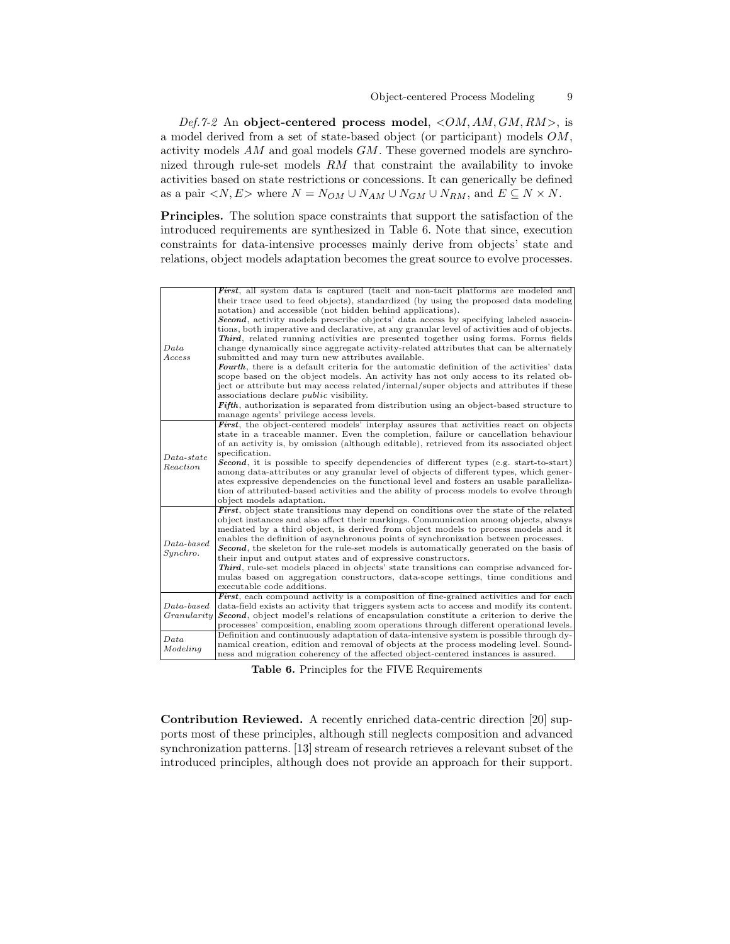Def.7-2 An object-centered process model,  $\langle OM, AM, GM, RM \rangle$ , is a model derived from a set of state-based object (or participant) models  $OM$ , activity models  $AM$  and goal models  $GM$ . These governed models are synchronized through rule-set models  $RM$  that constraint the availability to invoke activities based on state restrictions or concessions. It can generically be defined as a pair  $\langle N, E \rangle$  where  $N = N_{OM} \cup N_{AM} \cup N_{GM} \cup N_{RM}$ , and  $E \subseteq N \times N$ .

Principles. The solution space constraints that support the satisfaction of the introduced requirements are synthesized in Table 6. Note that since, execution constraints for data-intensive processes mainly derive from objects' state and relations, object models adaptation becomes the great source to evolve processes.

|                          | <b>First</b> , all system data is captured (tacit and non-tacit platforms are modeled and        |
|--------------------------|--------------------------------------------------------------------------------------------------|
|                          | their trace used to feed objects), standardized (by using the proposed data modeling             |
|                          | notation) and accessible (not hidden behind applications).                                       |
|                          | <b>Second</b> , activity models prescribe objects' data access by specifying labeled associa-    |
|                          | tions, both imperative and declarative, at any granular level of activities and of objects.      |
|                          | <b>Third</b> , related running activities are presented together using forms. Forms fields       |
| Data                     | change dynamically since aggregate activity-related attributes that can be alternately           |
| Access                   | submitted and may turn new attributes available.                                                 |
|                          | <b>Fourth</b> , there is a default criteria for the automatic definition of the activities' data |
|                          | scope based on the object models. An activity has not only access to its related ob-             |
|                          | ject or attribute but may access related/internal/super objects and attributes if these          |
|                          | associations declare <i>public</i> visibility.                                                   |
|                          | <b>Fifth</b> , authorization is separated from distribution using an object-based structure to   |
|                          | manage agents' privilege access levels.                                                          |
|                          | <b>First</b> , the object-centered models' interplay assures that activities react on objects    |
|                          | state in a traceable manner. Even the completion, failure or cancellation behaviour              |
|                          | of an activity is, by omission (although editable), retrieved from its associated object         |
| $Data-state$             | specification.                                                                                   |
| Reaction                 | <b>Second</b> , it is possible to specify dependencies of different types (e.g. start-to-start)  |
|                          | among data-attributes or any granular level of objects of different types, which gener-          |
|                          | ates expressive dependencies on the functional level and fosters an usable paralleliza-          |
|                          | tion of attributed-based activities and the ability of process models to evolve through          |
|                          | object models adaptation.                                                                        |
|                          | First, object state transitions may depend on conditions over the state of the related           |
|                          | object instances and also affect their markings. Communication among objects, always             |
| $Data-based$<br>Synchro. | mediated by a third object, is derived from object models to process models and it               |
|                          | enables the definition of asynchronous points of synchronization between processes.              |
|                          | <b>Second</b> , the skeleton for the rule-set models is automatically generated on the basis of  |
|                          | their input and output states and of expressive constructors.                                    |
|                          | <b>Third</b> , rule-set models placed in objects' state transitions can comprise advanced for-   |
|                          | mulas based on aggregation constructors, data-scope settings, time conditions and                |
|                          | executable code additions.                                                                       |
|                          | First, each compound activity is a composition of fine-grained activities and for each           |
| $Data-based$             | data-field exists an activity that triggers system acts to access and modify its content.        |
| Granularity              | <b>Second</b> , object model's relations of encapsulation constitute a criterion to derive the   |
|                          | processes' composition, enabling zoom operations through different operational levels.           |
| Data                     | Definition and continuously adaptation of data-intensive system is possible through dy-          |
| Modeling                 | namical creation, edition and removal of objects at the process modeling level. Sound-           |
|                          | ness and migration coherency of the affected object-centered instances is assured.               |

Table 6. Principles for the FIVE Requirements

Contribution Reviewed. A recently enriched data-centric direction [20] supports most of these principles, although still neglects composition and advanced synchronization patterns. [13] stream of research retrieves a relevant subset of the introduced principles, although does not provide an approach for their support.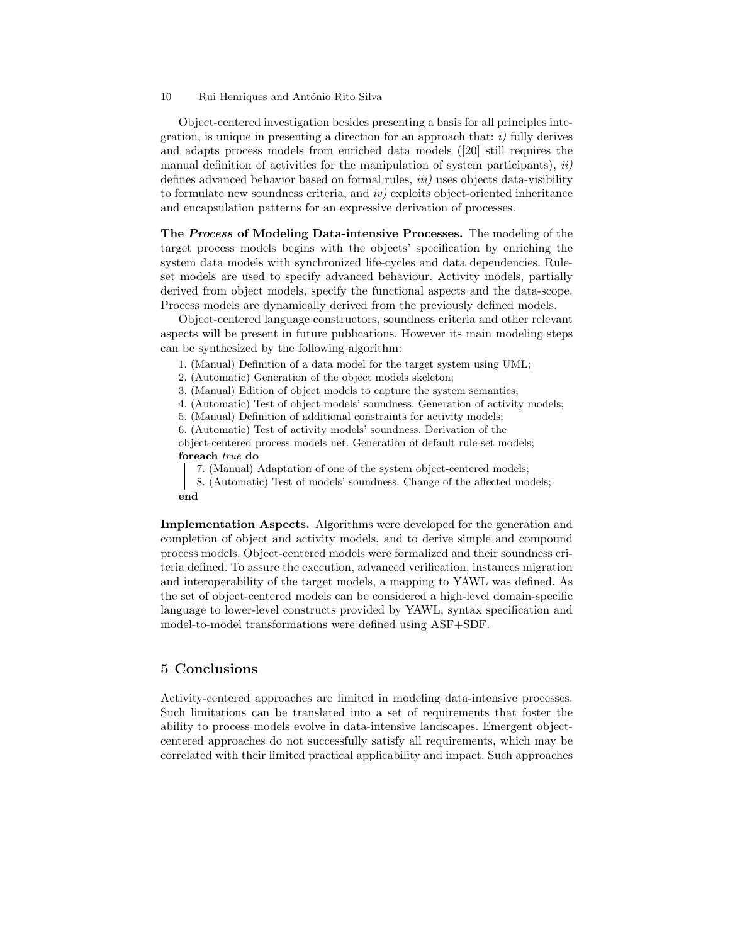Object-centered investigation besides presenting a basis for all principles integration, is unique in presenting a direction for an approach that:  $i$ ) fully derives and adapts process models from enriched data models ([20] still requires the manual definition of activities for the manipulation of system participants),  $ii)$ defines advanced behavior based on formal rules, *iii*) uses objects data-visibility to formulate new soundness criteria, and  $iv$  exploits object-oriented inheritance and encapsulation patterns for an expressive derivation of processes.

The Process of Modeling Data-intensive Processes. The modeling of the target process models begins with the objects' specification by enriching the system data models with synchronized life-cycles and data dependencies. Ruleset models are used to specify advanced behaviour. Activity models, partially derived from object models, specify the functional aspects and the data-scope. Process models are dynamically derived from the previously defined models.

Object-centered language constructors, soundness criteria and other relevant aspects will be present in future publications. However its main modeling steps can be synthesized by the following algorithm:

1. (Manual) Definition of a data model for the target system using UML;

2. (Automatic) Generation of the object models skeleton;

3. (Manual) Edition of object models to capture the system semantics;

4. (Automatic) Test of object models' soundness. Generation of activity models;

5. (Manual) Definition of additional constraints for activity models;

6. (Automatic) Test of activity models' soundness. Derivation of the

object-centered process models net. Generation of default rule-set models; foreach true do

7. (Manual) Adaptation of one of the system object-centered models;

8. (Automatic) Test of models' soundness. Change of the affected models; end

Implementation Aspects. Algorithms were developed for the generation and completion of object and activity models, and to derive simple and compound process models. Object-centered models were formalized and their soundness criteria defined. To assure the execution, advanced verification, instances migration and interoperability of the target models, a mapping to YAWL was defined. As the set of object-centered models can be considered a high-level domain-specific language to lower-level constructs provided by YAWL, syntax specification and model-to-model transformations were defined using ASF+SDF.

## 5 Conclusions

Activity-centered approaches are limited in modeling data-intensive processes. Such limitations can be translated into a set of requirements that foster the ability to process models evolve in data-intensive landscapes. Emergent objectcentered approaches do not successfully satisfy all requirements, which may be correlated with their limited practical applicability and impact. Such approaches

<sup>10</sup> Rui Henriques and António Rito Silva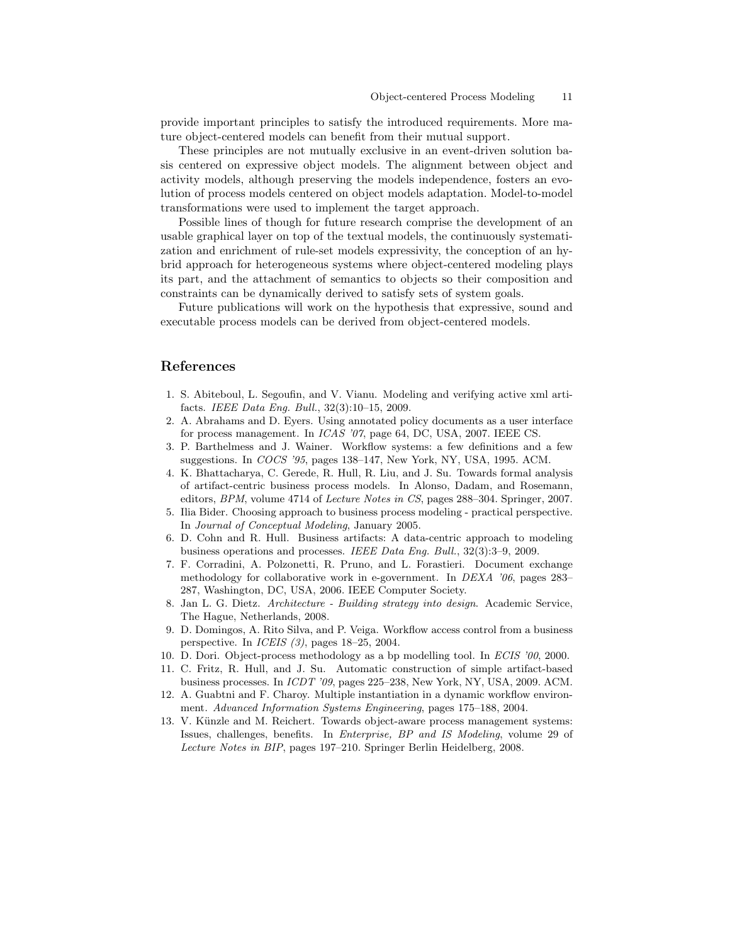provide important principles to satisfy the introduced requirements. More mature object-centered models can benefit from their mutual support.

These principles are not mutually exclusive in an event-driven solution basis centered on expressive object models. The alignment between object and activity models, although preserving the models independence, fosters an evolution of process models centered on object models adaptation. Model-to-model transformations were used to implement the target approach.

Possible lines of though for future research comprise the development of an usable graphical layer on top of the textual models, the continuously systematization and enrichment of rule-set models expressivity, the conception of an hybrid approach for heterogeneous systems where object-centered modeling plays its part, and the attachment of semantics to objects so their composition and constraints can be dynamically derived to satisfy sets of system goals.

Future publications will work on the hypothesis that expressive, sound and executable process models can be derived from object-centered models.

## References

- 1. S. Abiteboul, L. Segoufin, and V. Vianu. Modeling and verifying active xml artifacts. IEEE Data Eng. Bull., 32(3):10–15, 2009.
- 2. A. Abrahams and D. Eyers. Using annotated policy documents as a user interface for process management. In *ICAS '07*, page 64, DC, USA, 2007. IEEE CS.
- 3. P. Barthelmess and J. Wainer. Workflow systems: a few definitions and a few suggestions. In COCS '95, pages 138–147, New York, NY, USA, 1995. ACM.
- 4. K. Bhattacharya, C. Gerede, R. Hull, R. Liu, and J. Su. Towards formal analysis of artifact-centric business process models. In Alonso, Dadam, and Rosemann, editors, BPM, volume 4714 of Lecture Notes in CS, pages 288–304. Springer, 2007.
- 5. Ilia Bider. Choosing approach to business process modeling practical perspective. In Journal of Conceptual Modeling, January 2005.
- 6. D. Cohn and R. Hull. Business artifacts: A data-centric approach to modeling business operations and processes. IEEE Data Eng. Bull., 32(3):3–9, 2009.
- 7. F. Corradini, A. Polzonetti, R. Pruno, and L. Forastieri. Document exchange methodology for collaborative work in e-government. In DEXA '06, pages 283– 287, Washington, DC, USA, 2006. IEEE Computer Society.
- 8. Jan L. G. Dietz. Architecture Building strategy into design. Academic Service, The Hague, Netherlands, 2008.
- 9. D. Domingos, A. Rito Silva, and P. Veiga. Workflow access control from a business perspective. In ICEIS (3), pages 18–25, 2004.
- 10. D. Dori. Object-process methodology as a bp modelling tool. In ECIS '00, 2000.
- 11. C. Fritz, R. Hull, and J. Su. Automatic construction of simple artifact-based business processes. In ICDT '09, pages 225–238, New York, NY, USA, 2009. ACM.
- 12. A. Guabtni and F. Charoy. Multiple instantiation in a dynamic workflow environment. Advanced Information Systems Engineering, pages 175–188, 2004.
- 13. V. Künzle and M. Reichert. Towards object-aware process management systems: Issues, challenges, benefits. In Enterprise, BP and IS Modeling, volume 29 of Lecture Notes in BIP, pages 197–210. Springer Berlin Heidelberg, 2008.